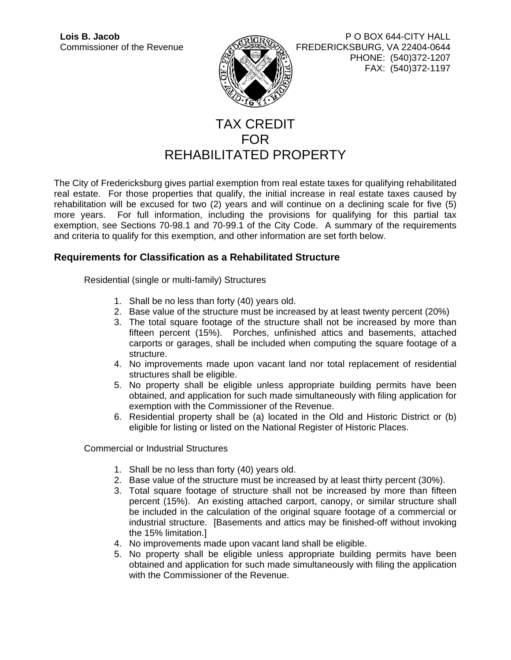

**Lois B. Jacob** P O BOX 644-CITY HALL Commissioner of the Revenue ADELIAN FREDERICKSBURG, VA 22404-0644 PHONE: (540)372-1207 FAX: (540)372-1197

## TAX CREDIT FOR REHABILITATED PROPERTY

The City of Fredericksburg gives partial exemption from real estate taxes for qualifying rehabilitated real estate. For those properties that qualify, the initial increase in real estate taxes caused by rehabilitation will be excused for two (2) years and will continue on a declining scale for five (5) more years. For full information, including the provisions for qualifying for this partial tax exemption, see Sections 70-98.1 and 70-99.1 of the City Code. A summary of the requirements and criteria to qualify for this exemption, and other information are set forth below.

### **Requirements for Classification as a Rehabilitated Structure**

Residential (single or multi-family) Structures

- 1. Shall be no less than forty (40) years old.
- 2. Base value of the structure must be increased by at least twenty percent (20%)
- 3. The total square footage of the structure shall not be increased by more than fifteen percent (15%). Porches, unfinished attics and basements, attached carports or garages, shall be included when computing the square footage of a structure.
- 4. No improvements made upon vacant land nor total replacement of residential structures shall be eligible.
- 5. No property shall be eligible unless appropriate building permits have been obtained, and application for such made simultaneously with filing application for exemption with the Commissioner of the Revenue.
- 6. Residential property shall be (a) located in the Old and Historic District or (b) eligible for listing or listed on the National Register of Historic Places.

Commercial or Industrial Structures

- 1. Shall be no less than forty (40) years old.
- 2. Base value of the structure must be increased by at least thirty percent (30%).
- 3. Total square footage of structure shall not be increased by more than fifteen percent (15%). An existing attached carport, canopy, or similar structure shall be included in the calculation of the original square footage of a commercial or industrial structure. [Basements and attics may be finished-off without invoking the 15% limitation.]
- 4. No improvements made upon vacant land shall be eligible.
- 5. No property shall be eligible unless appropriate building permits have been obtained and application for such made simultaneously with filing the application with the Commissioner of the Revenue.